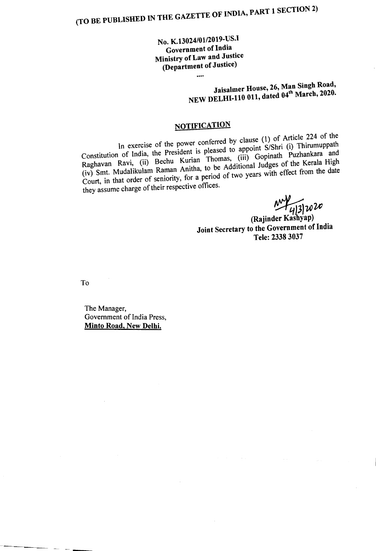No. K.13024/01/2019-US.I Government of India Ministry of Law and Justice (Department of Justice)

....

## Jaisalmer House, 26, Man Singh Road, NEW DELHI-110 011, dated 04<sup>th</sup> March, 2020.

## **NOTIFICATION**

In exercise of the power conferred by clause (1) of Article 224 of the Constitution of India, the President is pleased to appoint S/Shri (i) Thirumuppath Raghavan Ravi, (ii) Bechu Kurian Thomas, (iii) Gopinath Puzhankara and (iv) Smt. Mudalikulam Raman Anitha, to be Additional Judges of the Kerala High Court, in that order of seniority, for a period of two years with effect from the date they assume charge of their respective offices.

 $\frac{M}{4}$ <br>(Rajinder Kashyap)

Joint Secretary to the Government of India Tele: 2338 3037

To

The Manager, Government of India Press Minto Road, New Delhi. '